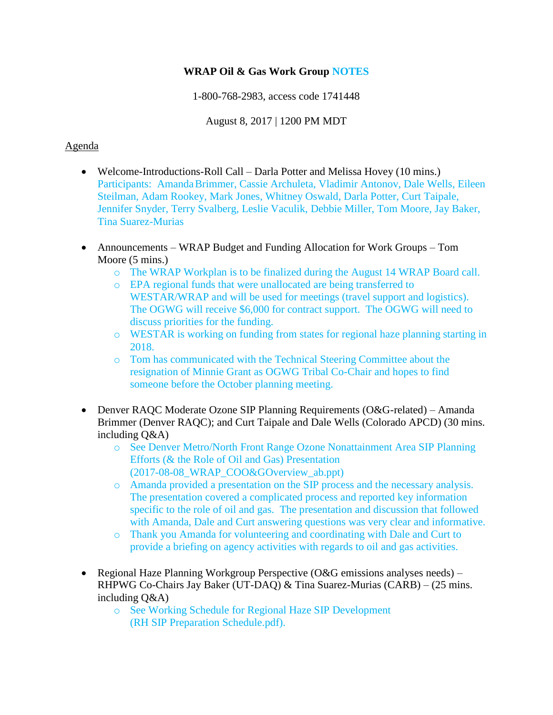## **WRAP Oil & Gas Work Group NOTES**

1-800-768-2983, access code 1741448

August 8, 2017 | 1200 PM MDT

## Agenda

- Welcome-Introductions-Roll Call Darla Potter and Melissa Hovey (10 mins.) Participants: AmandaBrimmer, Cassie Archuleta, Vladimir Antonov, Dale Wells, Eileen Steilman, Adam Rookey, Mark Jones, Whitney Oswald, Darla Potter, Curt Taipale, Jennifer Snyder, Terry Svalberg, Leslie Vaculik, Debbie Miller, Tom Moore, Jay Baker, Tina Suarez-Murias
- Announcements WRAP Budget and Funding Allocation for Work Groups Tom Moore (5 mins.)
	- o The WRAP Workplan is to be finalized during the August 14 WRAP Board call.
	- o EPA regional funds that were unallocated are being transferred to WESTAR/WRAP and will be used for meetings (travel support and logistics). The OGWG will receive \$6,000 for contract support. The OGWG will need to discuss priorities for the funding.
	- o WESTAR is working on funding from states for regional haze planning starting in 2018.
	- o Tom has communicated with the Technical Steering Committee about the resignation of Minnie Grant as OGWG Tribal Co-Chair and hopes to find someone before the October planning meeting.
- Denver RAQC Moderate Ozone SIP Planning Requirements (O&G-related) Amanda Brimmer (Denver RAQC); and Curt Taipale and Dale Wells (Colorado APCD) (30 mins. including Q&A)
	- o See Denver Metro/North Front Range Ozone Nonattainment Area SIP Planning Efforts (& the Role of Oil and Gas) Presentation (2017-08-08\_WRAP\_COO&GOverview\_ab.ppt)
	- o Amanda provided a presentation on the SIP process and the necessary analysis. The presentation covered a complicated process and reported key information specific to the role of oil and gas. The presentation and discussion that followed with Amanda, Dale and Curt answering questions was very clear and informative.
	- o Thank you Amanda for volunteering and coordinating with Dale and Curt to provide a briefing on agency activities with regards to oil and gas activities.
- Regional Haze Planning Workgroup Perspective ( $O&G$  emissions analyses needs) RHPWG Co-Chairs Jay Baker (UT-DAQ) & Tina Suarez-Murias (CARB) – (25 mins. including Q&A)
	- o See Working Schedule for Regional Haze SIP Development (RH SIP Preparation Schedule.pdf).